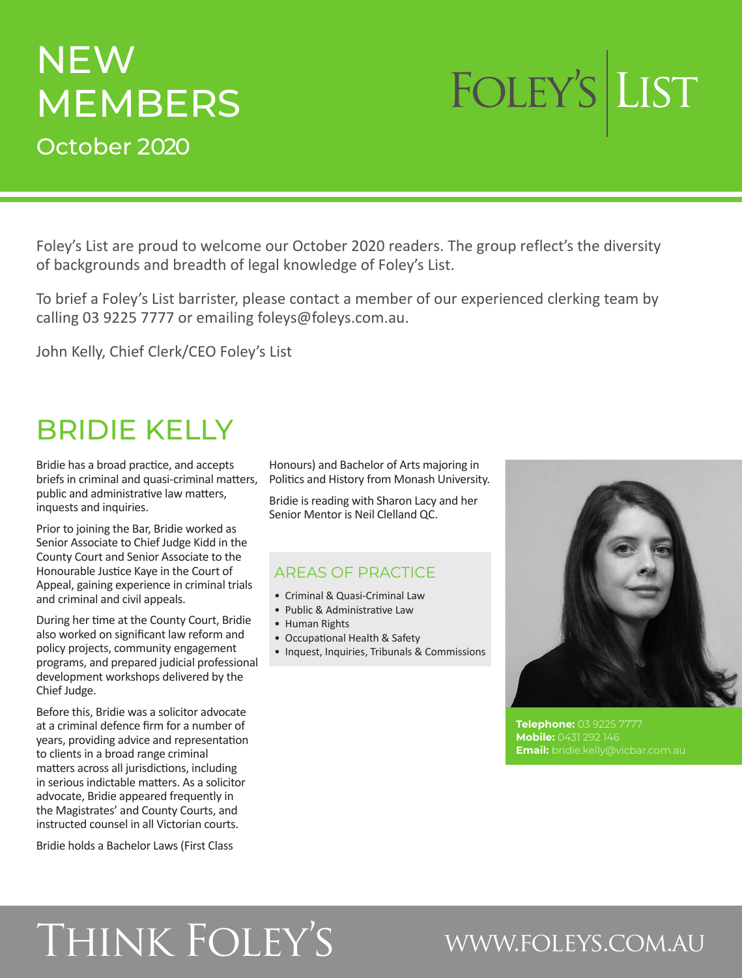# **NEW MEMBERS** October 2020

# FOLEY'S LIST

Foley's List are proud to welcome our October 2020 readers. The group reflect's the diversity of backgrounds and breadth of legal knowledge of Foley's List.

To brief a Foley's List barrister, please contact a member of our experienced clerking team by calling 03 9225 7777 or emailing foleys@foleys.com.au.

John Kelly, Chief Clerk/CEO Foley's List

# BRIDIE KELLY

Bridie has a broad practice, and accepts briefs in criminal and quasi-criminal matters, public and administrative law matters, inquests and inquiries.

Prior to joining the Bar, Bridie worked as Senior Associate to Chief Judge Kidd in the County Court and Senior Associate to the Honourable Justice Kaye in the Court of Appeal, gaining experience in criminal trials and criminal and civil appeals.

During her time at the County Court, Bridie also worked on significant law reform and policy projects, community engagement programs, and prepared judicial professional development workshops delivered by the Chief Judge.

Before this, Bridie was a solicitor advocate at a criminal defence firm for a number of years, providing advice and representation to clients in a broad range criminal matters across all jurisdictions, including in serious indictable matters. As a solicitor advocate, Bridie appeared frequently in the Magistrates' and County Courts, and instructed counsel in all Victorian courts.

Bridie holds a Bachelor Laws (First Class

Honours) and Bachelor of Arts majoring in Politics and History from Monash University.

Bridie is reading with Sharon Lacy and her Senior Mentor is Neil Clelland QC.

### AREAS OF PRACTICE

- Criminal & Quasi-Criminal Law
- Public & Administrative Law
- Human Rights
- Occupational Health & Safety
- Inquest, Inquiries, Tribunals & Commissions



**Telephone:** 03 9225 7777 **Mobile:** 0431 292 146 **Email:** bridie.kelly@vicbar.com.au

# Think Foley's www.foleys.com.au